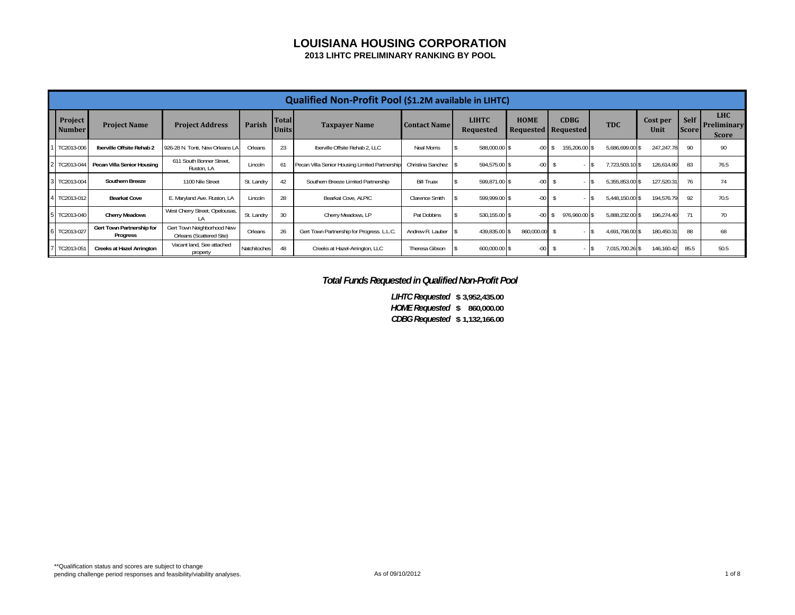|                   |                                       |                                                        |              |                              | Qualified Non-Profit Pool (\$1.2M available in LIHTC) |                       |                           |                                    |               |                 |                  |                             |                                                  |
|-------------------|---------------------------------------|--------------------------------------------------------|--------------|------------------------------|-------------------------------------------------------|-----------------------|---------------------------|------------------------------------|---------------|-----------------|------------------|-----------------------------|--------------------------------------------------|
| Project<br>Number | <b>Project Name</b>                   | <b>Project Address</b>                                 | Parish       | <b>Total</b><br><b>Units</b> | <b>Taxpayer Name</b>                                  | <b>Contact Name</b>   | <b>LIHTC</b><br>Requested | <b>HOME</b><br>Requested Requested | CDBG          | <b>TDC</b>      | Cost per<br>Unit | <b>Self</b><br><b>Score</b> | <b>LHC</b><br><b>Preliminary</b><br><b>Score</b> |
| C2013-006         | Iberville Offsite Rehab 2             | 926-28 N. Tonti, New Orleans LA                        | Orleans      | 23                           | Iberville Offsite Rehab 2, LLC                        | Neal Morris           | 588,000.00 \$             | $-001$                             | 155,206.00 \$ | 5,686,699.00 \$ | 247,247.78       | 90                          | 90                                               |
| C2013-044         | Pecan Villa Senior Housing            | 611 South Bonner Street.<br>Ruston, LA                 | Lincoln      | 61                           | Pecan Villa Senior Housing Limited Partnership        | Christina Sanchez     | 594,575.00 \$             | $-00$                              |               | 7,723,503.10 \$ | 126,614.80       | 83                          | 76.5                                             |
| C2013-004         | Southern Breeze                       | 1100 Nile Street                                       | St. Landry   | 42                           | Southern Breeze Limited Partnership                   | <b>Bill Truax</b>     | 599,871.00 \$             | $-00$                              |               | 5,355,853.00 \$ | 127,520.31       | 76                          | 74                                               |
| C2013-012         | <b>Bearkat Cove</b>                   | E. Maryland Ave. Ruston, LA                            | Lincoln      | 28                           | Bearkat Cove, ALPIC                                   | <b>Clarence Smith</b> | 599.999.00 \$             | $-00$                              |               | 5.448.150.00 \$ | 194,576.79       | 92                          | 70.5                                             |
| C2013-040         | <b>Cherry Meadows</b>                 | West Cherry Street, Opelousas,<br>ΙA                   | St. Landry   | 30                           | Cherry Meadows, LP                                    | Pat Dobbins           | 530,155.00 \$             | $-00-1$                            | 976,960.00 \$ | 5,888,232.00 \$ | 196,274.40       | 71                          | 70                                               |
| C2013-027         | Gert Town Partnership for<br>Progress | Gert Town Neighborhood New<br>Orleans (Scattered Site) | Orleans      | 26                           | Gert Town Partnership for Progress. L.L.C.            | Andrew R. Lauber      | 439,835.00 \$             | 860,000.00                         |               | 4,691,708.00 \$ | 180,450.31       | 88                          | 68                                               |
| C2013-051         | <b>Creeks at Hazel Arrington</b>      | Vacant land, See attached<br>property                  | Natchitoches | 48                           | Creeks at Hazel-Arrington, LLC                        | Theresa Gibson        | 600,000.00 \$             | $-00$                              |               | 7,015,700.26 \$ | 146,160.42       | 85.5                        | 50.5                                             |

*Total Funds Requested in Qualified Non-Profit Pool*

**\$ 3,952,435.00** *LIHTC Requested* **\$ 860,000.00** *HOME Requested CDBG Requested* **\$ 1,132,166.00**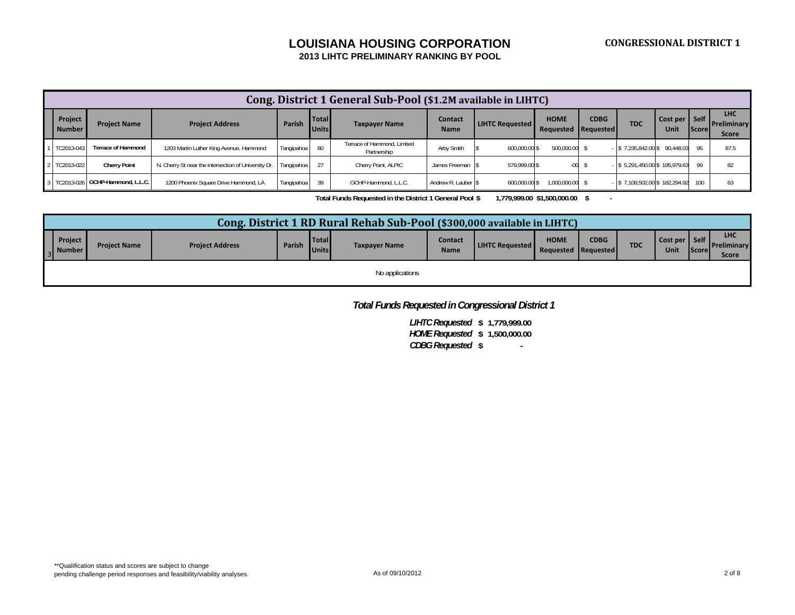|                          |                                 |                                                      |            |                       | Cong. District 1 General Sub-Pool (\$1.2M available in LIHTC) |                               |                        |                                      |             |                                   |                  |                      |                                           |
|--------------------------|---------------------------------|------------------------------------------------------|------------|-----------------------|---------------------------------------------------------------|-------------------------------|------------------------|--------------------------------------|-------------|-----------------------------------|------------------|----------------------|-------------------------------------------|
| Project<br><b>Number</b> | <b>Project Name</b>             | <b>Project Address</b>                               | Parish     | Total<br><b>Units</b> | <b>Taxpayer Name</b>                                          | <b>Contact</b><br><b>Name</b> | <b>LIHTC Requested</b> | <b>HOME</b><br>Requested   Requested | <b>CDBG</b> | <b>TDC</b>                        | Cost per<br>Unit | Self<br><b>Score</b> | <b>LHC</b><br>Preliminary<br><b>Score</b> |
| TC2013-043               | Terrace of Hammond              | 1203 Martin Luther King Avenue, Hammond              | Tangipahoa | 80                    | Terrace of Hammond, Limited<br>Partnership                    | <b>Arby Smith</b>             | 600.000.00             | 500.000.00 \$                        |             | $-$ \$ 7,235,842.00 \$ 90,448.03  |                  | 95                   | 87.5                                      |
| TC2013-022               | <b>Cherry Point</b>             | N. Cherry St near the intersection of University Dr. | Tangipahoa | 27                    | Cherry Point, ALPIC                                           | James Freeman S               | 579.999.00 \$          | $-00$                                |             | $-$ \$ 5,291,450.00 \$ 195,979.63 |                  | -99                  | 82                                        |
|                          | TC2013-026 GCHP-Hammond, L.L.C. | 1200 Phoenix Square Drive Hammond, LA                | Tangipahoa | 39                    | GCHP-Hammond, L.L.C.                                          | Andrew R. Lauber S            | 600.000.00             | 1,000,000.00 \$                      |             | $-$ \$ 7,109,502.00 \$ 182,294.92 |                  | 100                  | 63                                        |

**\$ 1,779,999.00 \$1,500,000.00 \$ - Total Funds Requested in the District 1 General Pool**

|                     |                     |                        |        |                              | Cong. District 1 RD Rural Rehab Sub-Pool (\$300,000 available in LIHTC) |                               |                        |                                    |             |            |                       |               |                                           |
|---------------------|---------------------|------------------------|--------|------------------------------|-------------------------------------------------------------------------|-------------------------------|------------------------|------------------------------------|-------------|------------|-----------------------|---------------|-------------------------------------------|
| Project<br>3 Number | <b>Project Name</b> | <b>Project Address</b> | Parish | <b>Total</b><br><b>Units</b> | <b>Taxpayer Name</b>                                                    | <b>Contact</b><br><b>Name</b> | <b>LIHTC Requested</b> | <b>HOME</b><br>Requested Requested | <b>CDBG</b> | <b>TDC</b> | Cost per Self<br>Unit | <b>IScore</b> | <b>LHC</b><br><b>Preliminary</b><br>Score |
|                     |                     |                        |        |                              | No applications                                                         |                               |                        |                                    |             |            |                       |               |                                           |

*Total Funds Requested in Congressional District 1*

**\$ 1,779,999.00** *LIHTC Requested* **\$ 1,500,000.00** *HOME Requested* **\$ -** *CDBG Requested*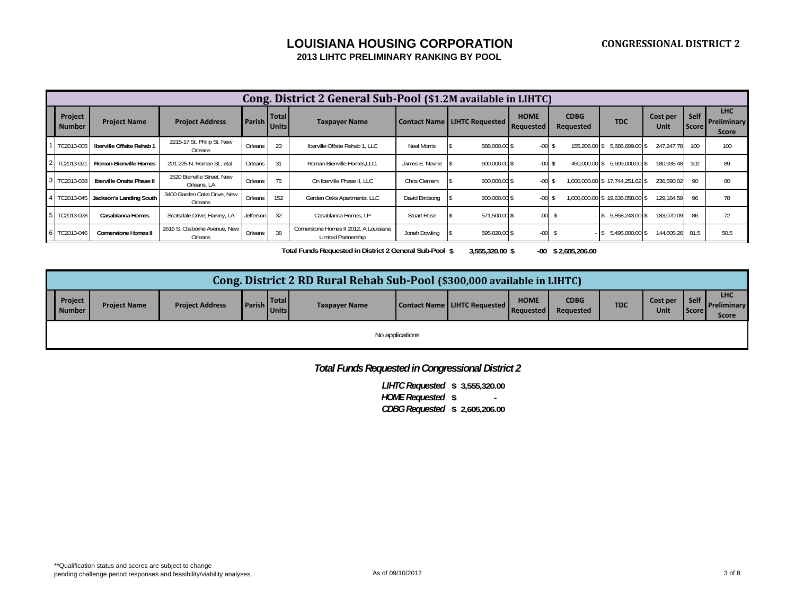|           |                          |                                    |                                           |               |                  | Cong. District 2 General Sub-Pool (\$1.2M available in LIHTC) |                    |                                     |                                 |                          |                                 |                  |                             |                                                  |
|-----------|--------------------------|------------------------------------|-------------------------------------------|---------------|------------------|---------------------------------------------------------------|--------------------|-------------------------------------|---------------------------------|--------------------------|---------------------------------|------------------|-----------------------------|--------------------------------------------------|
|           | Project<br><b>Number</b> | <b>Project Name</b>                | <b>Project Address</b>                    | <b>Parish</b> | Total  <br>Units | <b>Taxpayer Name</b>                                          |                    | <b>Contact Name LIHTC Requested</b> | <b>HOME</b><br><b>Requested</b> | <b>CDBG</b><br>Requested | <b>TDC</b>                      | Cost per<br>Unit | <b>Self</b><br><b>Score</b> | <b>LHC</b><br><b>Preliminary</b><br><b>Score</b> |
|           | 1 TC2013-005             | Iberville Offsite Rehab 1          | 2215-17 St. Philip St. New<br>Orleans     | Orleans       | 23               | Iberville Offsite Rehab 1. LLC                                | Neal Morris        | 588.000.00 \$                       | $-00$                           |                          | 155,206.00 \$ 5,686,699.00 \$   | 247.247.78       | 100                         | 100                                              |
|           | 2 TC2013-02              | Roman-Bienville Homes              | 201-225 N. Roman St., etal.               | Orleans       | 31               | Roman-Bienville Homes.LLC.                                    | James E. Neville   | 600,000.00 \$                       |                                 |                          | 450,000.00 \$ 5,609,000.00 \$   | 180.935.48       | 102                         | 89                                               |
|           | 3 TC2013-038             | Iberville Onsite Phase II          | 1520 Bienville Street. New<br>Orleans, LA | Orleans       | 75               | On Iberville Phase II. LLC                                    | Chris Clement      | 600.000.00 \$                       |                                 |                          | 1.000.000.00 \$17.744.251.62 \$ | 236,590.02       |                             | 80                                               |
| $\vert$ 4 |                          | TC2013-045 Jackson's Landing South | 3400 Garden Oaks Drive. New<br>Orleans    | Orleans       | 152              | Garden Oaks Apartments, LLC                                   | David Birdsong     | 600.000.00 \$                       |                                 |                          | 1,000,000.00 \$19,636,058.00 \$ | 129.184.59       | 96                          | 78                                               |
|           | 5 TC2013-028             | Casablanca Homes                   | Scotsdale Drive; Harvey, LA               | Jefferson     | 32               | Casablanca Homes, LP                                          | <b>Stuart Rose</b> | 571.500.00 \$                       | -00                             |                          | 5,858,243.00 \$<br>$-$ \$       | 183.070.09       | 86                          | 72                                               |
|           | 6 TC2013-046             | <b>Cornerstone Homes II</b>        | 2616 S. Claiborne Avenue, New<br>Orleans  | Orleans       | 38               | Cornerstone Homes II 2012. A Louisiana<br>Limited Partnership | Jonah Dowling      | 595,820.00 \$                       | $-00$                           |                          | $-$ \$ 5,495,000.00 \$          | 144,605.26       | 81.5                        | 50.5                                             |

**\$ 3,555,320.00 \$ -00 \$ 2,605,206.00 Total Funds Requested in District 2 General Sub-Pool**

|                     |                     |                        |                     |              | Cong. District 2 RD Rural Rehab Sub-Pool (\$300,000 available in LIHTC) |                 |                                         |                          |                          |            |                  |               |                                                  |
|---------------------|---------------------|------------------------|---------------------|--------------|-------------------------------------------------------------------------|-----------------|-----------------------------------------|--------------------------|--------------------------|------------|------------------|---------------|--------------------------------------------------|
| Project<br>  Number | <b>Project Name</b> | <b>Project Address</b> | <b>Parish Units</b> | <b>Total</b> | <b>Taxpayer Name</b>                                                    |                 | <b>Contact Name   LIHTC Requested  </b> | <b>HOME</b><br>Requested | <b>CDBG</b><br>Requested | <b>TDC</b> | Cost per<br>Unit | Self<br>Score | <b>LHC</b><br><b>Preliminary</b><br><b>Score</b> |
|                     |                     |                        |                     |              |                                                                         | No applications |                                         |                          |                          |            |                  |               |                                                  |

# *Total Funds Requested in Congressional District 2*

**\$ 3,555,320.00** *LIHTC Requested* **\$ -** *CDBG Requested* **\$ 2,605,206.00** *HOME Requested*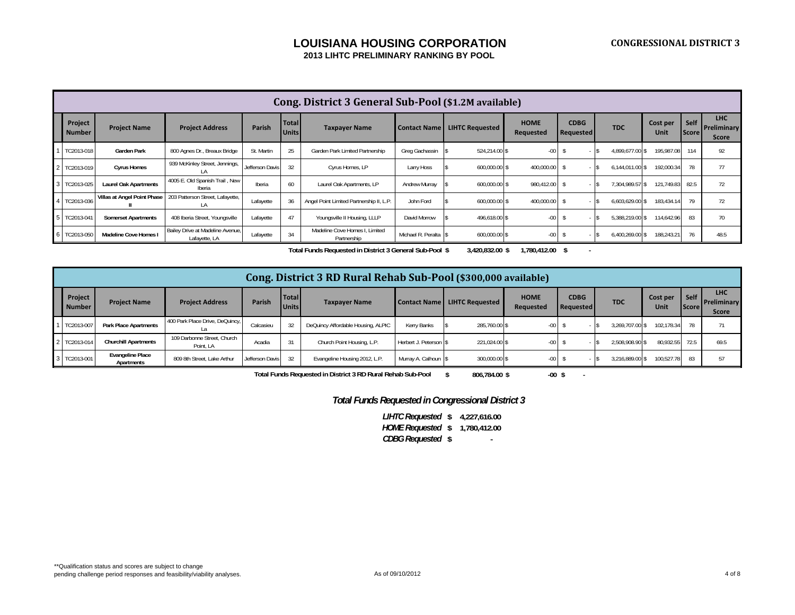|                          |                              |                                                   |                 |                              | Cong. District 3 General Sub-Pool (\$1.2M available) |                       |                        |                          |                                 |                  |                  |                      |                                                  |
|--------------------------|------------------------------|---------------------------------------------------|-----------------|------------------------------|------------------------------------------------------|-----------------------|------------------------|--------------------------|---------------------------------|------------------|------------------|----------------------|--------------------------------------------------|
| Project<br><b>Number</b> | <b>Project Name</b>          | <b>Project Address</b>                            | <b>Parish</b>   | <b>Total</b><br><b>Units</b> | <b>Taxpayer Name</b>                                 | <b>Contact Name</b>   | <b>LIHTC Requested</b> | <b>HOME</b><br>Requested | <b>CDBG</b><br><b>Requested</b> | <b>TDC</b>       | Cost per<br>Unit | Self<br><b>Score</b> | <b>LHC</b><br><b>Preliminary</b><br><b>Score</b> |
| TC2013-018               | Garden Park                  | 800 Agnes Dr., Breaux Bridge                      | St. Martin      | 25                           | Garden Park Limited Partnership                      | Greg Gachassin        | 524.214.00 \$          | $-00-$                   |                                 | 4.899.677.00 \$  | 195,987.08       | 114                  | 92                                               |
| TC2013-019               | <b>Cyrus Homes</b>           | 939 McKinley Street, Jennings,                    | Jefferson Davis | 32                           | Cyrus Homes, LP                                      | Larry Hoss            | 600,000.00 \$          | 400.000.00 S             |                                 | $6.144.011.00$ S | 192,000.34       | 78                   | 77                                               |
| TC2013-025               | <b>Laurel Oak Apartments</b> | 4005 E. Old Spanish Trail, New<br>Iberia          | Iberia          | 60                           | Laurel Oak Apartments, LP                            | <b>Andrew Murray</b>  | 600.000.00 \$          | 980,412.00 \$            |                                 | 7.304.989.57 \$  | 121.749.83       | 82.5                 | 72                                               |
| TC2013-036               | Villas at Angel Point Phase  | 203 Patterson Street, Lafayette,<br>l A           | Lafayette       | 36                           | Angel Point Limited Partnership II, L.P.             | John Ford             | 600,000.00 \$          | 400,000.00               |                                 | 6,603,629.00 \$  | 183,434.1        | 79                   | 72                                               |
| TC2013-041               | <b>Somerset Apartments</b>   | 408 Iberia Street, Youngsville                    | Lafayette       | 47                           | Youngsville II Housing, LLLP                         | David Morrow          | 496,618.00 \$          | $-00-$                   |                                 | 5.388.219.00 \$  | 114.642.96       | 83                   | 70                                               |
| TC2013-050               | Madeline Cove Homes I        | Bailey Drive at Madeline Avenue,<br>Lafayette, LA | Lafayette       | 34                           | Madeline Cove Homes I, Limited<br>Partnership        | Michael R. Peralta \$ | 600,000.00 \$          | $-00-$                   |                                 | 6,400,269.00 \$  | 188,243.21       | 76                   | 48.5                                             |

**\$ 3,420,832.00 \$ 1,780,412.00 \$ - Total Funds Requested in District 3 General Sub-Pool**

|                          |                                       |                                          |                 |                              | Cong. District 3 RD Rural Rehab Sub-Pool (\$300,000 available) |                        |                                |                          |                                 |                 |                  |                             |                                           |
|--------------------------|---------------------------------------|------------------------------------------|-----------------|------------------------------|----------------------------------------------------------------|------------------------|--------------------------------|--------------------------|---------------------------------|-----------------|------------------|-----------------------------|-------------------------------------------|
| Project<br><b>Number</b> | <b>Project Name</b>                   | <b>Project Address</b>                   | <b>Parish</b>   | <b>Total</b><br><b>Units</b> | <b>Taxpayer Name</b>                                           |                        | Contact Name   LIHTC Requested | <b>HOME</b><br>Requested | <b>CDBG</b><br><b>Requested</b> | <b>TDC</b>      | Cost per<br>Unit | <b>Self</b><br><b>Score</b> | <b>LHC</b><br>Preliminary<br><b>Score</b> |
| TC2013-00                | <b>Park Place Apartments</b>          | 400 Park Place Drive, DeQuincy,          | Calcasieu       | 32                           | DeQuincy Affordable Housing, ALPIC                             | Kerry Banks            | 285.760.00 \$                  | $-00 -$                  |                                 | 3.269.707.00 \$ | 102.178.34       | 78                          | 71                                        |
| 2 TC2013-014             | <b>Churchill Apartments</b>           | 109 Darbonne Street, Church<br>Point, LA | Acadia          | 31                           | Church Point Housing, L.P.                                     | Herbert J. Peterson \$ | 221.024.00 \$                  | $-00$                    |                                 | 2.508.908.90 \$ | 80.932.55        | 72.5                        | 69.5                                      |
| 3 TC2013-001             | <b>Evangeline Place</b><br>Apartments | 809 8th Street, Lake Arthur              | Jefferson Davis | 32                           | Evangeline Housing 2012, L.P.                                  | Murray A. Calhoun \$   | 300,000.00 \$                  | $-00$                    |                                 | 3,216,889.00 \$ | 100,527.78       |                             | 57                                        |

**\$ -00 806,784.00 \$ - \$ Total Funds Requested in District 3 RD Rural Rehab Sub-Pool**

*Total Funds Requested in Congressional District 3*

**\$ 4,227,616.00** *LIHTC Requested* **\$ 1,780,412.00** *HOME Requested CDBG Requested* **\$ -**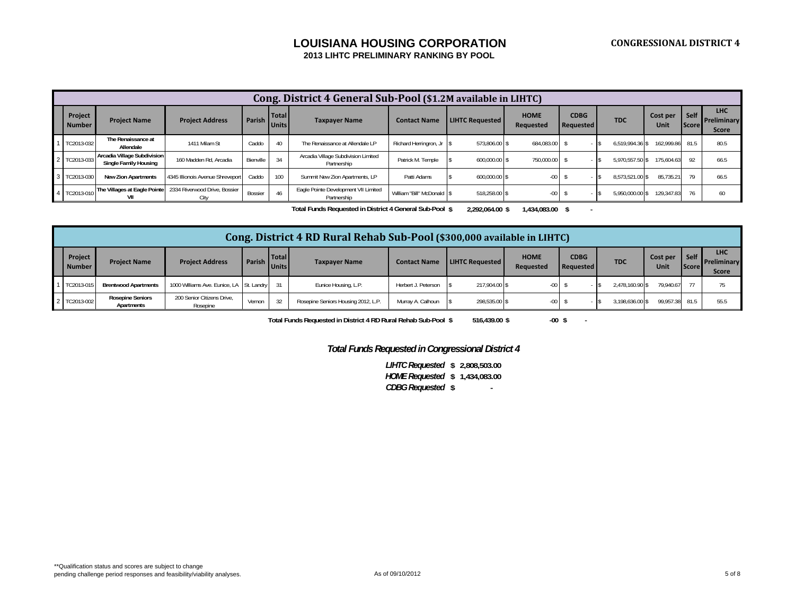|                          |                                                      |                                       |           |                              | Cong. District 4 General Sub-Pool (\$1.2M available in LIHTC) |                           |                        |                          |                                 |                 |                         |                        |                                           |
|--------------------------|------------------------------------------------------|---------------------------------------|-----------|------------------------------|---------------------------------------------------------------|---------------------------|------------------------|--------------------------|---------------------------------|-----------------|-------------------------|------------------------|-------------------------------------------|
| Project<br><b>Number</b> | <b>Project Name</b>                                  | <b>Project Address</b>                | Parish I  | <b>Total</b><br><b>Units</b> | <b>Taxpayer Name</b>                                          | <b>Contact Name</b>       | <b>LIHTC Requested</b> | <b>HOME</b><br>Requested | <b>CDBG</b><br><b>Requested</b> | <b>TDC</b>      | Cost per<br><b>Unit</b> | Self  <br><b>Score</b> | <b>LHC</b><br>Preliminary<br><b>Score</b> |
| 1 TC2013-032             | The Renaissance at<br>Allendale                      | 1411 Milam St                         | Caddo     | 40                           | The Renaissance at Allendale LP                               | Richard Herringron, Jr \$ | 573.806.00 \$          | 684.083.00               |                                 | 6.519.994.36 \$ | 162.999.86              | 81.5                   | 80.5                                      |
| 2 TC2013-033             | Arcadia Village Subdivision<br>Single Family Housing | 160 Madden Rd. Arcadia                | Bienville | 34                           | Arcadia Village Subdivision Limited<br>Partnership            | Patrick M. Temple         | 600.000.00 \$          | 750.000.00               |                                 | 5.970.557.50 \$ | 175.604.63              | 92                     | 66.5                                      |
| 3 TC2013-030             | <b>New Zion Apartments</b>                           | 4345 Illionois Avenue Shreveport      | Caddo     | 100                          | Summit New Zion Apartments, LP                                | Patti Adams               | 600.000.00 \$          | $-00-$                   |                                 | 8.573.521.00 \$ | 85.735.21               | 79                     | 66.5                                      |
| 4 TC2013-010             | The Villages at Eagle Pointe                         | 2334 Riverwood Drive, Bossier<br>Citv | Bossier   | 46                           | Eagle Pointe Development VII Limited<br>Partnership           | William "Bill" McDonald S | 518.258.00 \$          | $-00 -$                  |                                 | 5.950.000.00 \$ | 129.347.83              |                        | 60                                        |

**\$ 2,292,064.00 \$ 1,434,083.00 \$ - Total Funds Requested in District 4 General Sub-Pool**

|                          |                                       |                                             |              | Cong. District 4 RD Rural Rehab Sub-Pool (\$300,000 available in LIHTC) |                     |                        |                                 |                          |                 |                         |                        |                                           |
|--------------------------|---------------------------------------|---------------------------------------------|--------------|-------------------------------------------------------------------------|---------------------|------------------------|---------------------------------|--------------------------|-----------------|-------------------------|------------------------|-------------------------------------------|
| Project<br><b>Number</b> | <b>Project Name</b>                   | <b>Project Address</b>                      | Parish Total | <b>Taxpayer Name</b>                                                    | <b>Contact Name</b> | <b>LIHTC Requested</b> | <b>HOME</b><br><b>Requested</b> | <b>CDBG</b><br>Requested | <b>TDC</b>      | Cost per<br><b>Unit</b> | Self  <br><b>Score</b> | <b>LHC</b><br>Preliminary<br><b>Score</b> |
| TC2013-015               | <b>Brentwood Apartments</b>           | 1000 Williams Ave. Eunice, LA St. Landry 31 |              | Eunice Housing, L.P.                                                    | Herbert J. Peterson | 217,904.00 \$          | $-00$                           |                          | 2.478.160.90 \$ | 79.940.67               | 77                     |                                           |
| 2 TC2013-002             | <b>Rosepine Seniors</b><br>Apartments | 200 Senior Citizens Drive.<br>Rosepine      | Vernon       | Rosepine Seniors Housing 2012, L.P.                                     | Murray A. Calhoun   | 298.535.00 \$          | $-00$                           |                          | 3.198.636.00 \$ | 99.957.38 81.5          |                        | 55.5                                      |

**\$ -00 516,439.00 \$ - \$ Total Funds Requested in District 4 RD Rural Rehab Sub-Pool**

*Total Funds Requested in Congressional District 4*

**\$ 2,808,503.00** *LIHTC Requested* **\$ 1,434,083.00** *HOME Requested* **\$ -** *CDBG Requested*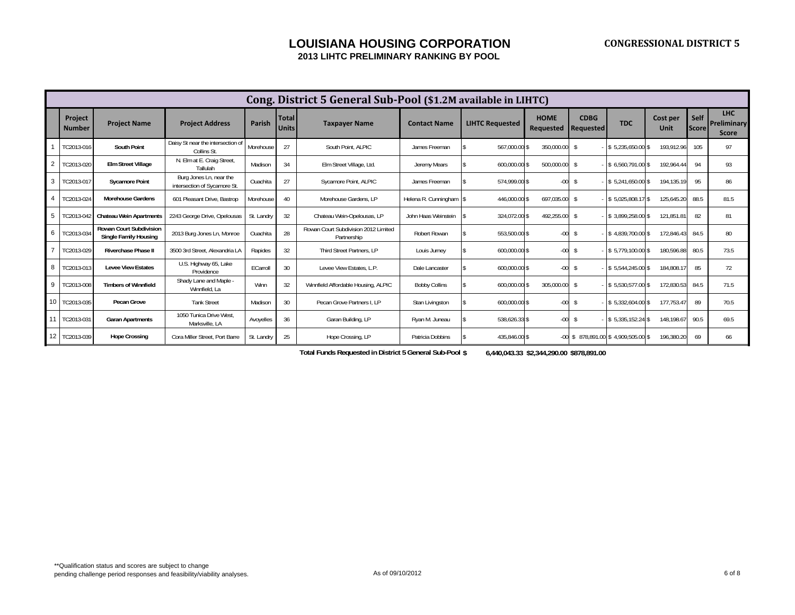|                 |                          |                                                                |                                                         |               |                              | Cong. District 5 General Sub-Pool (\$1.2M available in LIHTC) |                      |                        |                          |                                 |                           |                         |                      |                                           |
|-----------------|--------------------------|----------------------------------------------------------------|---------------------------------------------------------|---------------|------------------------------|---------------------------------------------------------------|----------------------|------------------------|--------------------------|---------------------------------|---------------------------|-------------------------|----------------------|-------------------------------------------|
|                 | Project<br><b>Number</b> | <b>Project Name</b>                                            | <b>Project Address</b>                                  | <b>Parish</b> | <b>Total</b><br><b>Units</b> | <b>Taxpayer Name</b>                                          | <b>Contact Name</b>  | <b>LIHTC Requested</b> | <b>HOME</b><br>Requested | <b>CDBG</b><br><b>Requested</b> | <b>TDC</b>                | Cost per<br><b>Unit</b> | Self<br><b>Score</b> | <b>LHC</b><br>Preliminary<br><b>Score</b> |
|                 | TC2013-016               | <b>South Point</b>                                             | Daisy St near the intersection of<br>Collins St.        | Morehouse     | 27                           | South Point, ALPIC                                            | James Freeman        | 567,000.00 \$          | 350,000.00               |                                 | \$5,235,650.00\$          | 193,912.96              | 105                  | 97                                        |
| $\overline{2}$  | TC2013-020               | <b>Elm Street Village</b>                                      | N. Elm at E. Craig Street,<br>Tallulah                  | Madison       | 34                           | Elm Street Village, Ltd.                                      | Jeremy Mears         | 600,000.00 \$          | 500,000.00               |                                 | \$6,560,791.00            | 192,964.44              | 94                   | 93                                        |
| 3               | TC2013-017               | <b>Sycamore Point</b>                                          | Burg Jones Ln, near the<br>intersection of Sycamore St. | Ouachita      | 27                           | Sycamore Point, ALPIC                                         | James Freeman        | 574.999.00 \$          | $-00$                    | - \$                            | $-$ \$ 5,241,650.00 \$    | 194,135.19              | 95                   | 86                                        |
|                 | TC2013-024               | <b>Morehouse Gardens</b>                                       | 601 Pleasant Drive, Bastrop                             | Morehouse     | 40                           | Morehouse Gardens, LP                                         | Helena R. Cunningham | 446.000.00 \$          | 697,035.00               |                                 | $-$ \$ 5,025,808.17 \$    | 125,645.20              | 88.5                 | 81.5                                      |
| 5               | TC2013-042               | <b>Chateau Wein Apartments</b>                                 | 2243 George Drive, Opelousas                            | St. Landry    | 32                           | Chateau Wein-Opelousas, LP                                    | John Haas Weinstein  | 324,072.00 \$          | 492,255.00               |                                 | $-$ \$ 3,899,258.00 \$    | 121,851.81              | 82                   | 81                                        |
| -6              | TC2013-034               | <b>Rowan Court Subdivision</b><br><b>Single Family Housing</b> | 2013 Burg Jones Ln, Monroe                              | Ouachita      | 28                           | Rowan Court Subdivision 2012 Limited<br>Partnership           | Robert Rowan         | 553,500.00 \$          | $-00$                    | -\$                             | $-$ \$4,839,700.00 \$     | 172,846.43              | 84.5                 | 80                                        |
|                 | TC2013-029               | <b>Riverchase Phase II</b>                                     | 3500 3rd Street. Alexandria LA                          | Rapides       | 32                           | Third Street Partners, LP                                     | Louis Jurney         | 600,000.00 \$          | $-00$                    | -\$                             | $-$ \$ 5,779,100.00 \$    | 180,596.88              | 80.5                 | 73.5                                      |
| -8              | TC2013-013               | <b>Levee View Estates</b>                                      | U.S. Highway 65, Lake<br>Providence                     | ECarroll      | 30                           | Levee View Estates, L.P.                                      | Dale Lancaster       | 600.000.00 \$          | $-00$                    | -\$                             | $-$ \$ 5.544.245.00 \$    | 184,808.1               | 85                   | 72                                        |
| -9              | TC2013-008               | <b>Timbers of Winnfield</b>                                    | Shady Lane and Maple -<br>Winnfield, La                 | Winn          | 32                           | Winnfield Affordable Housing, ALPIC                           | <b>Bobby Collins</b> | 600,000.00 \$          | 305,000.00               | -\$                             | $-$ \$ 5,530,577.00 \$    | 172,830.53              | 84.5                 | 71.5                                      |
| 10 <sup>1</sup> | TC2013-035               | Pecan Grove                                                    | <b>Tank Street</b>                                      | Madison       | 30                           | Pecan Grove Partners I. LP                                    | Stan Livingston      | 600,000.00 \$          | $-00$                    | -\$                             | $-$ \$ 5,332,604.00 :     | 177,753.47              | 89                   | 70.5                                      |
|                 | TC2013-031               | <b>Garan Apartments</b>                                        | 1050 Tunica Drive West<br>Marksville, LA                | Avoyelles     | 36                           | Garan Building, LP                                            | Ryan M. Juneau       | 538,626.33 \$          | $-00$                    | - \$                            | $-$ \$ 5,335,152.24 \$    | 148,198.67              | 90.5                 | 69.5                                      |
| 12 <sub>1</sub> | TC2013-039               | <b>Hope Crossing</b>                                           | Cora Miller Street. Port Barre                          | St. Landry    | 25                           | Hope Crossing, LP                                             | Patricia Dobbins     | 435,846.00 \$          | $-00$                    |                                 | 878,891.00 \$4,909,505.00 | 196,380.20              | 69                   | 66                                        |

**Total Funds Requested in District 5 General Sub-Pool**

**\$ 6,440,043.33 \$2,344,290.00 \$878,891.00**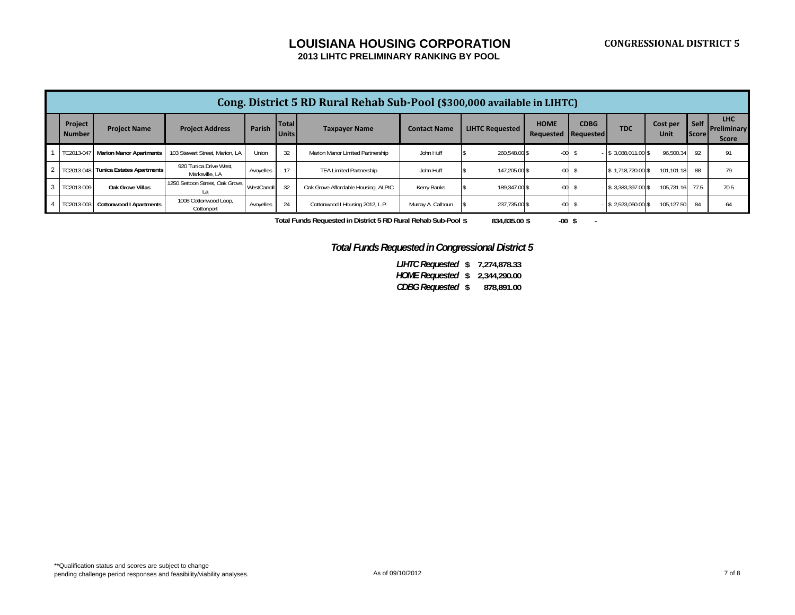|                     |                                            |                                          |             |                       | Cong. District 5 RD Rural Rehab Sub-Pool (\$300,000 available in LIHTC) |                     |                        |                          |                                 |                        |                  |                        |                                                   |
|---------------------|--------------------------------------------|------------------------------------------|-------------|-----------------------|-------------------------------------------------------------------------|---------------------|------------------------|--------------------------|---------------------------------|------------------------|------------------|------------------------|---------------------------------------------------|
| Project<br>l Number | <b>Project Name</b>                        | <b>Project Address</b>                   | Parish      | Total<br><b>Units</b> | <b>Taxpayer Name</b>                                                    | <b>Contact Name</b> | <b>LIHTC Requested</b> | <b>HOME</b><br>Requested | <b>CDBG</b><br><b>Requested</b> | <b>TDC</b>             | Cost per<br>Unit | Self  <br><b>Score</b> | <b>LHC</b><br><b>IPreliminary</b><br><b>Score</b> |
|                     | TC2013-047   Marion Manor Apartments       | 103 Stewart Street, Marion, LA           | Union       | 32                    | Marion Manor Limited Partnership                                        | John Huff           | 260.548.00 \$          |                          |                                 | $-$ \$ 3.088.011.00 \$ | 96.500.34        | 92                     | 91                                                |
|                     | 2   TC2013-048   Tunica Estates Apartments | 920 Tunica Drive West.<br>Marksville, LA | Avoyelles   |                       | <b>TEA Limited Partnership</b>                                          | John Huff           | 147,205.00 \$          |                          |                                 | $-$ \$ 1,718,720.00 \$ | 101.101.18       | 88                     |                                                   |
| 3 TC2013-009        | Oak Grove Villas                           | 1250 Settoon Street, Oak Grove,<br>l a   | WestCarroll | 32                    | Oak Grove Affordable Housing, ALPIC                                     | Kerry Banks         | 189,347.00 \$          |                          |                                 | $-$ \$ 3,383,397.00 \$ | 105.731.16       | 77.5                   | 70.5                                              |
| 4 TC2013-003        | <b>Cottonwood I Apartments</b>             | 1008 Cottonwood Loop,<br>Cottonport      | Avoyelles   | 24                    | Cottonwood I Housing 2012, L.P.                                         | Murray A. Calhoun   | 237,735.00 \$          |                          |                                 | $52,523,060.00$ \$     | 105,127.50       | 84                     | 64                                                |

**\$ -00 834,835.00 \$ - \$ Total Funds Requested in District 5 RD Rural Rehab Sub-Pool**

*Total Funds Requested in Congressional District 5*

**\$ 7,274,878.33** *LIHTC Requested*

**\$ 2,344,290.00** *HOME Requested*

**\$ 878,891.00** *CDBG Requested*